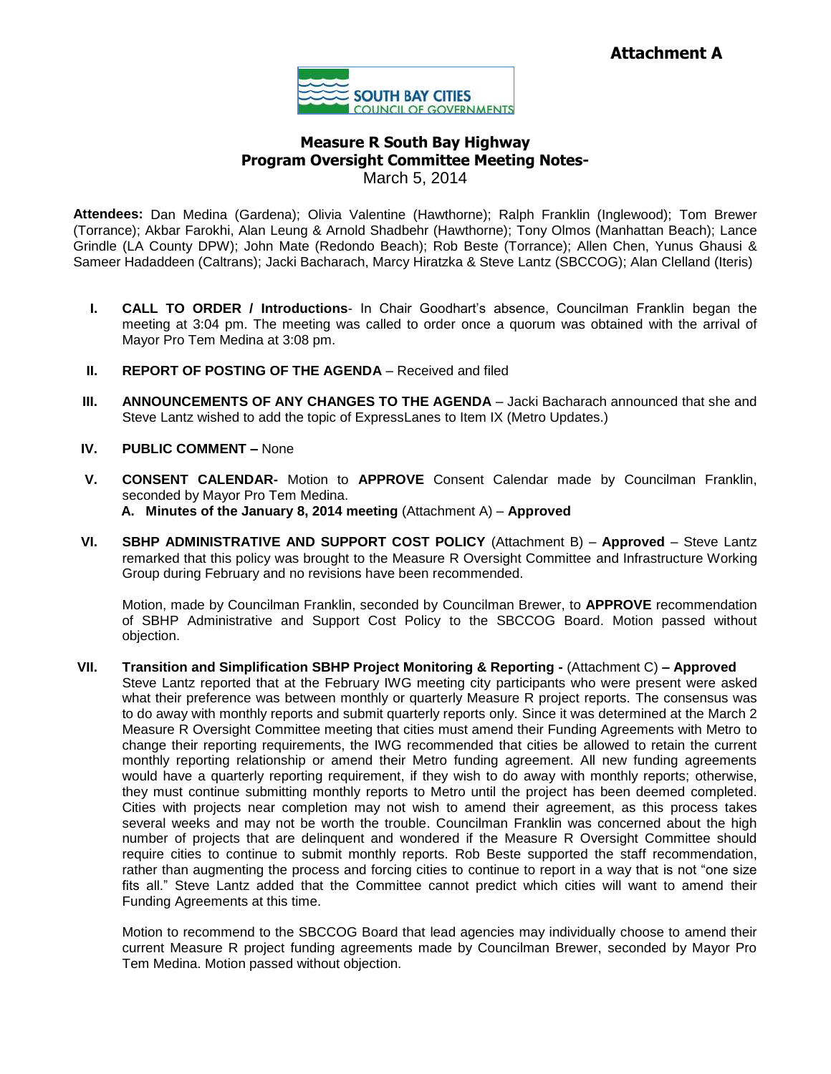

# **Measure R South Bay Highway Program Oversight Committee Meeting Notes-**March 5, 2014

**Attendees:** Dan Medina (Gardena); Olivia Valentine (Hawthorne); Ralph Franklin (Inglewood); Tom Brewer (Torrance); Akbar Farokhi, Alan Leung & Arnold Shadbehr (Hawthorne); Tony Olmos (Manhattan Beach); Lance Grindle (LA County DPW); John Mate (Redondo Beach); Rob Beste (Torrance); Allen Chen, Yunus Ghausi & Sameer Hadaddeen (Caltrans); Jacki Bacharach, Marcy Hiratzka & Steve Lantz (SBCCOG); Alan Clelland (Iteris)

- **I. CALL TO ORDER / Introductions** In Chair Goodhart's absence, Councilman Franklin began the meeting at 3:04 pm. The meeting was called to order once a quorum was obtained with the arrival of Mayor Pro Tem Medina at 3:08 pm.
- **II. REPORT OF POSTING OF THE AGENDA** Received and filed
- **III. ANNOUNCEMENTS OF ANY CHANGES TO THE AGENDA** Jacki Bacharach announced that she and Steve Lantz wished to add the topic of ExpressLanes to Item IX (Metro Updates.)
- **IV. PUBLIC COMMENT –** None
- **V. CONSENT CALENDAR-** Motion to **APPROVE** Consent Calendar made by Councilman Franklin, seconded by Mayor Pro Tem Medina.
	- **A. Minutes of the January 8, 2014 meeting** (Attachment A) **Approved**
- **VI. SBHP ADMINISTRATIVE AND SUPPORT COST POLICY** (Attachment B) **Approved** Steve Lantz remarked that this policy was brought to the Measure R Oversight Committee and Infrastructure Working Group during February and no revisions have been recommended.

Motion, made by Councilman Franklin, seconded by Councilman Brewer, to **APPROVE** recommendation of SBHP Administrative and Support Cost Policy to the SBCCOG Board. Motion passed without objection.

**VII. Transition and Simplification SBHP Project Monitoring & Reporting -** (Attachment C) **– Approved** Steve Lantz reported that at the February IWG meeting city participants who were present were asked what their preference was between monthly or quarterly Measure R project reports. The consensus was to do away with monthly reports and submit quarterly reports only. Since it was determined at the March 2 Measure R Oversight Committee meeting that cities must amend their Funding Agreements with Metro to change their reporting requirements, the IWG recommended that cities be allowed to retain the current monthly reporting relationship or amend their Metro funding agreement. All new funding agreements would have a quarterly reporting requirement, if they wish to do away with monthly reports; otherwise, they must continue submitting monthly reports to Metro until the project has been deemed completed. Cities with projects near completion may not wish to amend their agreement, as this process takes several weeks and may not be worth the trouble. Councilman Franklin was concerned about the high number of projects that are delinquent and wondered if the Measure R Oversight Committee should require cities to continue to submit monthly reports. Rob Beste supported the staff recommendation, rather than augmenting the process and forcing cities to continue to report in a way that is not "one size fits all." Steve Lantz added that the Committee cannot predict which cities will want to amend their Funding Agreements at this time.

Motion to recommend to the SBCCOG Board that lead agencies may individually choose to amend their current Measure R project funding agreements made by Councilman Brewer, seconded by Mayor Pro Tem Medina. Motion passed without objection.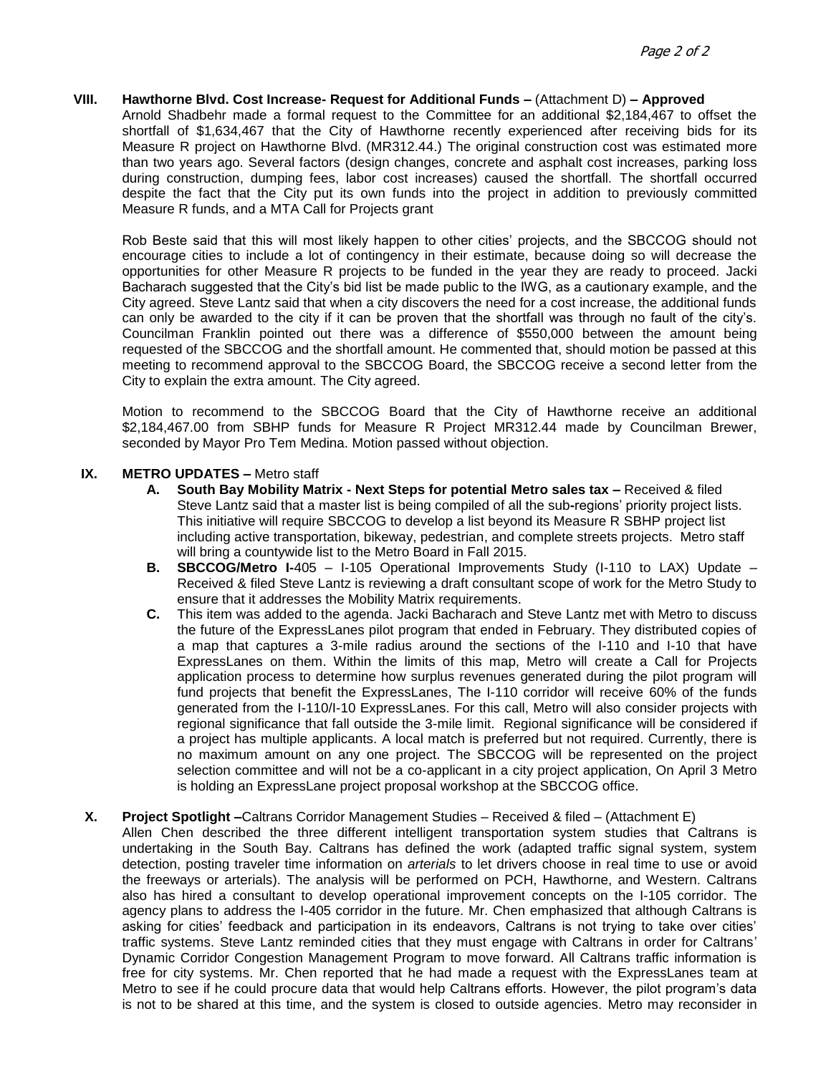### **VIII. Hawthorne Blvd. Cost Increase- Request for Additional Funds –** (Attachment D) **– Approved**

Arnold Shadbehr made a formal request to the Committee for an additional \$2,184,467 to offset the shortfall of \$1,634,467 that the City of Hawthorne recently experienced after receiving bids for its Measure R project on Hawthorne Blvd. (MR312.44.) The original construction cost was estimated more than two years ago. Several factors (design changes, concrete and asphalt cost increases, parking loss during construction, dumping fees, labor cost increases) caused the shortfall. The shortfall occurred despite the fact that the City put its own funds into the project in addition to previously committed Measure R funds, and a MTA Call for Projects grant

Rob Beste said that this will most likely happen to other cities' projects, and the SBCCOG should not encourage cities to include a lot of contingency in their estimate, because doing so will decrease the opportunities for other Measure R projects to be funded in the year they are ready to proceed. Jacki Bacharach suggested that the City's bid list be made public to the IWG, as a cautionary example, and the City agreed. Steve Lantz said that when a city discovers the need for a cost increase, the additional funds can only be awarded to the city if it can be proven that the shortfall was through no fault of the city's. Councilman Franklin pointed out there was a difference of \$550,000 between the amount being requested of the SBCCOG and the shortfall amount. He commented that, should motion be passed at this meeting to recommend approval to the SBCCOG Board, the SBCCOG receive a second letter from the City to explain the extra amount. The City agreed.

Motion to recommend to the SBCCOG Board that the City of Hawthorne receive an additional \$2,184,467.00 from SBHP funds for Measure R Project MR312.44 made by Councilman Brewer, seconded by Mayor Pro Tem Medina. Motion passed without objection.

### **IX. METRO UPDATES –** Metro staff

- **A. South Bay Mobility Matrix - Next Steps for potential Metro sales tax –** Received & filed Steve Lantz said that a master list is being compiled of all the sub**-**regions' priority project lists. This initiative will require SBCCOG to develop a list beyond its Measure R SBHP project list including active transportation, bikeway, pedestrian, and complete streets projects. Metro staff will bring a countywide list to the Metro Board in Fall 2015.
- **B. SBCCOG/Metro I-**405 I-105 Operational Improvements Study (I-110 to LAX) Update Received & filed Steve Lantz is reviewing a draft consultant scope of work for the Metro Study to ensure that it addresses the Mobility Matrix requirements.
- **C.** This item was added to the agenda. Jacki Bacharach and Steve Lantz met with Metro to discuss the future of the ExpressLanes pilot program that ended in February. They distributed copies of a map that captures a 3-mile radius around the sections of the I-110 and I-10 that have ExpressLanes on them. Within the limits of this map, Metro will create a Call for Projects application process to determine how surplus revenues generated during the pilot program will fund projects that benefit the ExpressLanes, The I-110 corridor will receive 60% of the funds generated from the I-110/I-10 ExpressLanes. For this call, Metro will also consider projects with regional significance that fall outside the 3-mile limit. Regional significance will be considered if a project has multiple applicants. A local match is preferred but not required. Currently, there is no maximum amount on any one project. The SBCCOG will be represented on the project selection committee and will not be a co-applicant in a city project application, On April 3 Metro is holding an ExpressLane project proposal workshop at the SBCCOG office.

## **X. Project Spotlight –**Caltrans Corridor Management Studies – Received & filed – (Attachment E)

Allen Chen described the three different intelligent transportation system studies that Caltrans is undertaking in the South Bay. Caltrans has defined the work (adapted traffic signal system, system detection, posting traveler time information on *arterials* to let drivers choose in real time to use or avoid the freeways or arterials). The analysis will be performed on PCH, Hawthorne, and Western. Caltrans also has hired a consultant to develop operational improvement concepts on the I-105 corridor. The agency plans to address the I-405 corridor in the future. Mr. Chen emphasized that although Caltrans is asking for cities' feedback and participation in its endeavors, Caltrans is not trying to take over cities' traffic systems. Steve Lantz reminded cities that they must engage with Caltrans in order for Caltrans' Dynamic Corridor Congestion Management Program to move forward. All Caltrans traffic information is free for city systems. Mr. Chen reported that he had made a request with the ExpressLanes team at Metro to see if he could procure data that would help Caltrans efforts. However, the pilot program's data is not to be shared at this time, and the system is closed to outside agencies. Metro may reconsider in